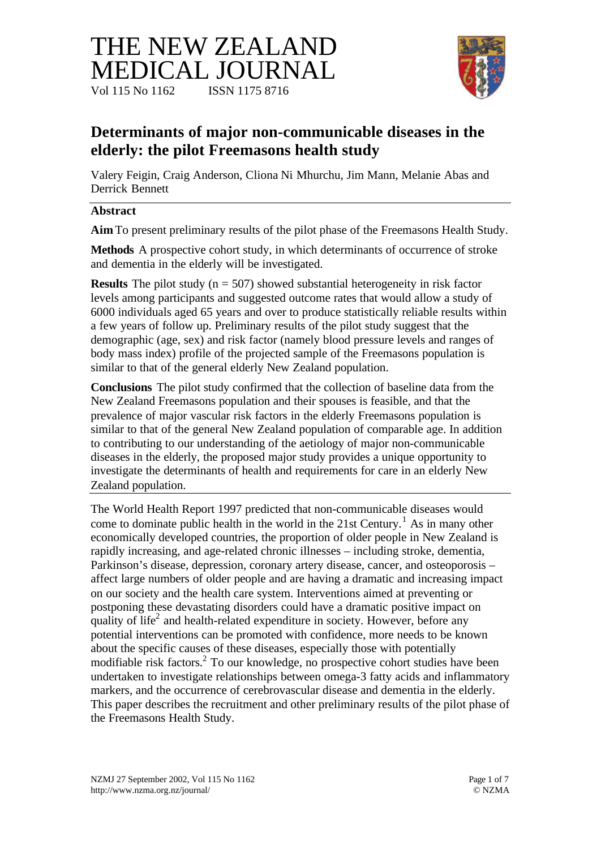# THE NEW ZEALAND MEDICAL JOURNAL Vol 115 No 1162 **ISSN** 1175 8716



## **Determinants of major non-communicable diseases in the elderly: the pilot Freemasons health study**

Valery Feigin, Craig Anderson, Cliona Ni Mhurchu, Jim Mann, Melanie Abas and Derrick Bennett

#### **Abstract**

**Aim** To present preliminary results of the pilot phase of the Freemasons Health Study.

**Methods** A prospective cohort study, in which determinants of occurrence of stroke and dementia in the elderly will be investigated.

**Results** The pilot study ( $n = 507$ ) showed substantial heterogeneity in risk factor levels among participants and suggested outcome rates that would allow a study of 6000 individuals aged 65 years and over to produce statistically reliable results within a few years of follow up. Preliminary results of the pilot study suggest that the demographic (age, sex) and risk factor (namely blood pressure levels and ranges of body mass index) profile of the projected sample of the Freemasons population is similar to that of the general elderly New Zealand population.

**Conclusions** The pilot study confirmed that the collection of baseline data from the New Zealand Freemasons population and their spouses is feasible, and that the prevalence of major vascular risk factors in the elderly Freemasons population is similar to that of the general New Zealand population of comparable age. In addition to contributing to our understanding of the aetiology of major non-communicable diseases in the elderly, the proposed major study provides a unique opportunity to investigate the determinants of health and requirements for care in an elderly New Zealand population.

The World Health Report 1997 predicted that non-communicable diseases would come to dominate public health in the world in the 21st Century.<sup>1</sup> As in many other economically developed countries, the proportion of older people in New Zealand is rapidly increasing, and age-related chronic illnesses – including stroke, dementia, Parkinson's disease, depression, coronary artery disease, cancer, and osteoporosis – affect large numbers of older people and are having a dramatic and increasing impact on our society and the health care system. Interventions aimed at preventing or postponing these devastating disorders could have a dramatic positive impact on quality of life<sup>2</sup> and health-related expenditure in society. However, before any potential interventions can be promoted with confidence, more needs to be known about the specific causes of these diseases, especially those with potentially modifiable risk factors.<sup>2</sup> To our knowledge, no prospective cohort studies have been undertaken to investigate relationships between omega-3 fatty acids and inflammatory markers, and the occurrence of cerebrovascular disease and dementia in the elderly. This paper describes the recruitment and other preliminary results of the pilot phase of the Freemasons Health Study.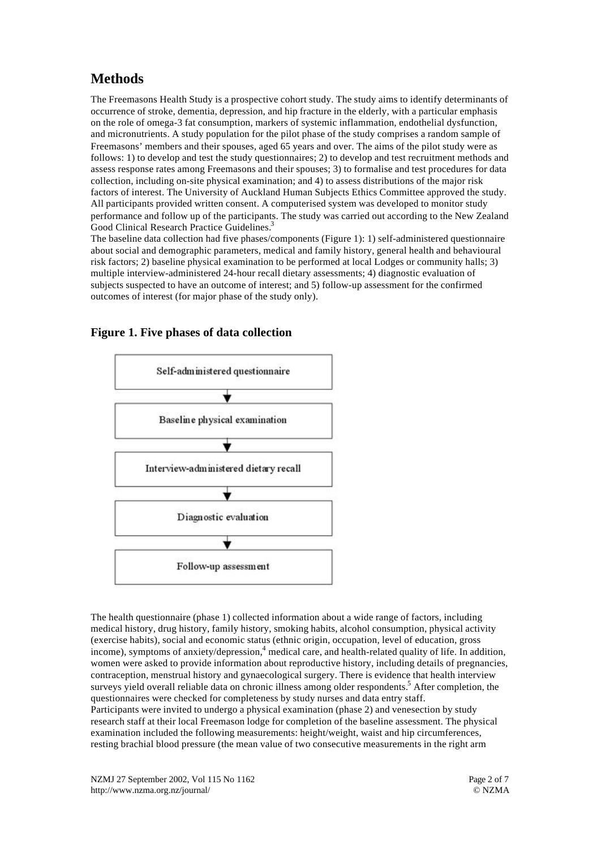## **Methods**

The Freemasons Health Study is a prospective cohort study. The study aims to identify determinants of occurrence of stroke, dementia, depression, and hip fracture in the elderly, with a particular emphasis on the role of omega-3 fat consumption, markers of systemic inflammation, endothelial dysfunction, and micronutrients. A study population for the pilot phase of the study comprises a random sample of Freemasons' members and their spouses, aged 65 years and over. The aims of the pilot study were as follows: 1) to develop and test the study questionnaires; 2) to develop and test recruitment methods and assess response rates among Freemasons and their spouses; 3) to formalise and test procedures for data collection, including on-site physical examination; and 4) to assess distributions of the major risk factors of interest. The University of Auckland Human Subjects Ethics Committee approved the study. All participants provided written consent. A computerised system was developed to monitor study performance and follow up of the participants. The study was carried out according to the New Zealand Good Clinical Research Practice Guidelines.<sup>3</sup>

The baseline data collection had five phases/components (Figure 1): 1) self-administered questionnaire about social and demographic parameters, medical and family history, general health and behavioural risk factors; 2) baseline physical examination to be performed at local Lodges or community halls; 3) multiple interview-administered 24-hour recall dietary assessments; 4) diagnostic evaluation of subjects suspected to have an outcome of interest; and 5) follow-up assessment for the confirmed outcomes of interest (for major phase of the study only).

#### **Figure 1. Five phases of data collection**



The health questionnaire (phase 1) collected information about a wide range of factors, including medical history, drug history, family history, smoking habits, alcohol consumption, physical activity (exercise habits), social and economic status (ethnic origin, occupation, level of education, gross income), symptoms of anxiety/depression, 4 medical care, and health-related quality of life. In addition, women were asked to provide information about reproductive history, including details of pregnancies, contraception, menstrual history and gynaecological surgery. There is evidence that health interview surveys yield overall reliable data on chronic illness among older respondents.<sup>5</sup> After completion, the questionnaires were checked for completeness by study nurses and data entry staff. Participants were invited to undergo a physical examination (phase 2) and venesection by study research staff at their local Freemason lodge for completion of the baseline assessment. The physical examination included the following measurements: height/weight, waist and hip circumferences, resting brachial blood pressure (the mean value of two consecutive measurements in the right arm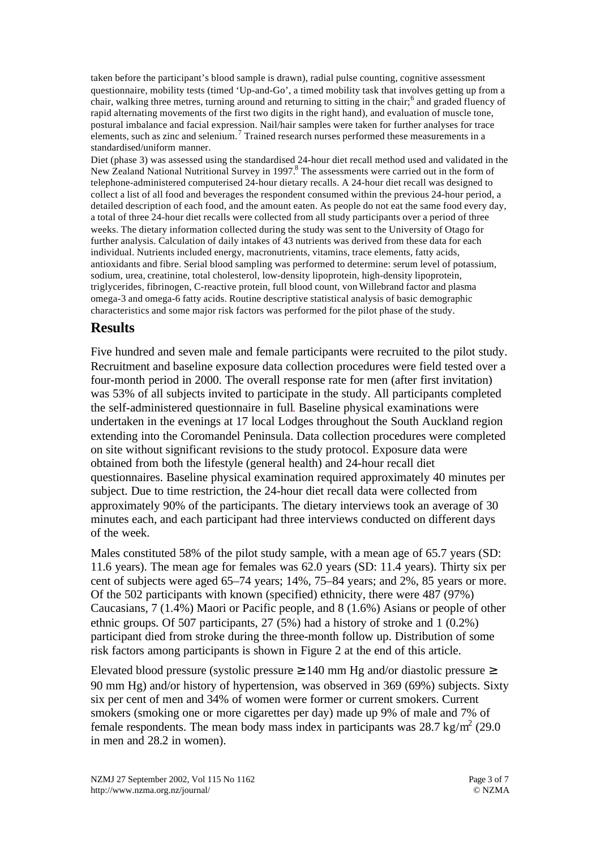taken before the participant's blood sample is drawn), radial pulse counting, cognitive assessment questionnaire, mobility tests (timed 'Up-and-Go', a timed mobility task that involves getting up from a chair, walking three metres, turning around and returning to sitting in the chair;<sup>6</sup> and graded fluency of rapid alternating movements of the first two digits in the right hand), and evaluation of muscle tone, postural imbalance and facial expression. Nail/hair samples were taken for further analyses for trace elements, such as zinc and selenium.<sup>7</sup> Trained research nurses performed these measurements in a standardised/uniform manner.

Diet (phase 3) was assessed using the standardised 24-hour diet recall method used and validated in the New Zealand National Nutritional Survey in 1997.<sup>8</sup> The assessments were carried out in the form of telephone-administered computerised 24-hour dietary recalls. A 24-hour diet recall was designed to collect a list of all food and beverages the respondent consumed within the previous 24-hour period, a detailed description of each food, and the amount eaten. As people do not eat the same food every day, a total of three 24-hour diet recalls were collected from all study participants over a period of three weeks. The dietary information collected during the study was sent to the University of Otago for further analysis. Calculation of daily intakes of 43 nutrients was derived from these data for each individual. Nutrients included energy, macronutrients, vitamins, trace elements, fatty acids, antioxidants and fibre. Serial blood sampling was performed to determine: serum level of potassium, sodium, urea, creatinine, total cholesterol, low-density lipoprotein, high-density lipoprotein, triglycerides, fibrinogen, C-reactive protein, full blood count, von Willebrand factor and plasma omega-3 and omega-6 fatty acids. Routine descriptive statistical analysis of basic demographic characteristics and some major risk factors was performed for the pilot phase of the study.

#### **Results**

Five hundred and seven male and female participants were recruited to the pilot study. Recruitment and baseline exposure data collection procedures were field tested over a four-month period in 2000. The overall response rate for men (after first invitation) was 53% of all subjects invited to participate in the study. All participants completed the self-administered questionnaire in full. Baseline physical examinations were undertaken in the evenings at 17 local Lodges throughout the South Auckland region extending into the Coromandel Peninsula. Data collection procedures were completed on site without significant revisions to the study protocol. Exposure data were obtained from both the lifestyle (general health) and 24-hour recall diet questionnaires. Baseline physical examination required approximately 40 minutes per subject. Due to time restriction, the 24-hour diet recall data were collected from approximately 90% of the participants. The dietary interviews took an average of 30 minutes each, and each participant had three interviews conducted on different days of the week.

Males constituted 58% of the pilot study sample, with a mean age of 65.7 years (SD: 11.6 years). The mean age for females was 62.0 years (SD: 11.4 years). Thirty six per cent of subjects were aged 65–74 years; 14%, 75–84 years; and 2%, 85 years or more. Of the 502 participants with known (specified) ethnicity, there were 487 (97%) Caucasians, 7 (1.4%) Maori or Pacific people, and 8 (1.6%) Asians or people of other ethnic groups. Of 507 participants, 27 (5%) had a history of stroke and 1 (0.2%) participant died from stroke during the three-month follow up. Distribution of some risk factors among participants is shown in Figure 2 at the end of this article.

Elevated blood pressure (systolic pressure  $\geq 140$  mm Hg and/or diastolic pressure  $\geq$ 90 mm Hg) and/or history of hypertension, was observed in 369 (69%) subjects. Sixty six per cent of men and 34% of women were former or current smokers. Current smokers (smoking one or more cigarettes per day) made up 9% of male and 7% of female respondents. The mean body mass index in participants was  $28.7 \text{ kg/m}^2$  (29.0) in men and 28.2 in women).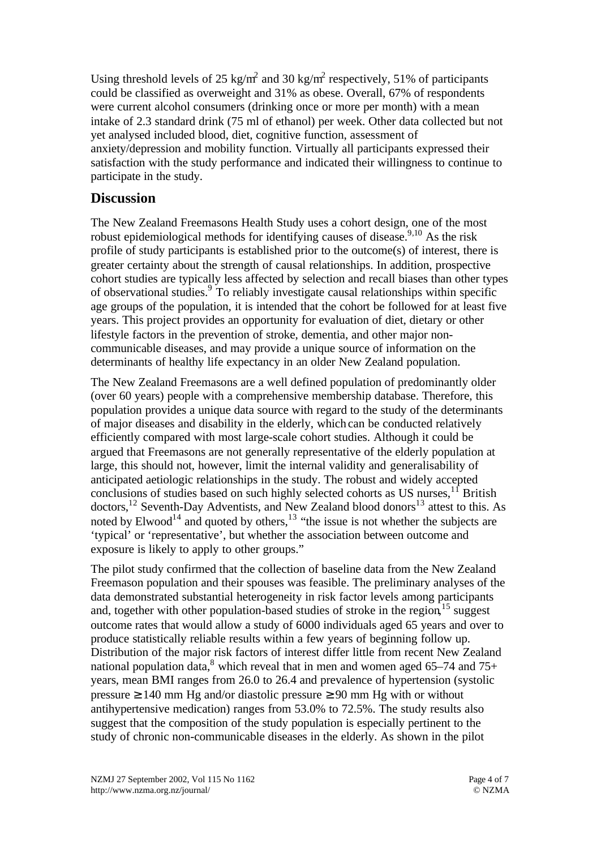Using threshold levels of 25 kg/m<sup>2</sup> and 30 kg/m<sup>2</sup> respectively, 51% of participants could be classified as overweight and 31% as obese. Overall, 67% of respondents were current alcohol consumers (drinking once or more per month) with a mean intake of 2.3 standard drink (75 ml of ethanol) per week. Other data collected but not yet analysed included blood, diet, cognitive function, assessment of anxiety/depression and mobility function. Virtually all participants expressed their satisfaction with the study performance and indicated their willingness to continue to participate in the study.

### **Discussion**

The New Zealand Freemasons Health Study uses a cohort design, one of the most robust epidemiological methods for identifying causes of disease.<sup>9,10</sup> As the risk profile of study participants is established prior to the outcome(s) of interest, there is greater certainty about the strength of causal relationships. In addition, prospective cohort studies are typically less affected by selection and recall biases than other types of observational studies.<sup>9</sup> To reliably investigate causal relationships within specific age groups of the population, it is intended that the cohort be followed for at least five years. This project provides an opportunity for evaluation of diet, dietary or other lifestyle factors in the prevention of stroke, dementia, and other major noncommunicable diseases, and may provide a unique source of information on the determinants of healthy life expectancy in an older New Zealand population.

The New Zealand Freemasons are a well defined population of predominantly older (over 60 years) people with a comprehensive membership database. Therefore, this population provides a unique data source with regard to the study of the determinants of major diseases and disability in the elderly, which can be conducted relatively efficiently compared with most large-scale cohort studies. Although it could be argued that Freemasons are not generally representative of the elderly population at large, this should not, however, limit the internal validity and generalisability of anticipated aetiologic relationships in the study. The robust and widely accepted conclusions of studies based on such highly selected cohorts as US nurses,  $1<sup>1</sup>$  British doctors,<sup>12</sup> Seventh-Day Adventists, and New Zealand blood donors<sup>13</sup> attest to this. As noted by Elwood<sup>14</sup> and quoted by others,  $13$  "the issue is not whether the subjects are 'typical' or 'representative', but whether the association between outcome and exposure is likely to apply to other groups."

The pilot study confirmed that the collection of baseline data from the New Zealand Freemason population and their spouses was feasible. The preliminary analyses of the data demonstrated substantial heterogeneity in risk factor levels among participants and, together with other population-based studies of stroke in the region,<sup>15</sup> suggest outcome rates that would allow a study of 6000 individuals aged 65 years and over to produce statistically reliable results within a few years of beginning follow up. Distribution of the major risk factors of interest differ little from recent New Zealand national population data,<sup>8</sup> which reveal that in men and women aged 65–74 and 75+ years, mean BMI ranges from 26.0 to 26.4 and prevalence of hypertension (systolic pressure ≥ 140 mm Hg and/or diastolic pressure ≥ 90 mm Hg with or without antihypertensive medication) ranges from 53.0% to 72.5%. The study results also suggest that the composition of the study population is especially pertinent to the study of chronic non-communicable diseases in the elderly. As shown in the pilot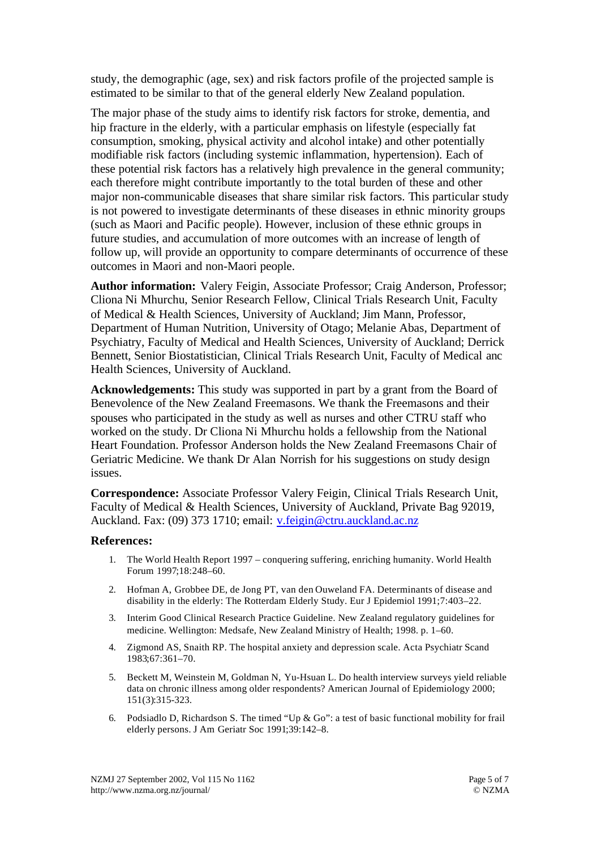study, the demographic (age, sex) and risk factors profile of the projected sample is estimated to be similar to that of the general elderly New Zealand population.

The major phase of the study aims to identify risk factors for stroke, dementia, and hip fracture in the elderly, with a particular emphasis on lifestyle (especially fat consumption, smoking, physical activity and alcohol intake) and other potentially modifiable risk factors (including systemic inflammation, hypertension). Each of these potential risk factors has a relatively high prevalence in the general community; each therefore might contribute importantly to the total burden of these and other major non-communicable diseases that share similar risk factors. This particular study is not powered to investigate determinants of these diseases in ethnic minority groups (such as Maori and Pacific people). However, inclusion of these ethnic groups in future studies, and accumulation of more outcomes with an increase of length of follow up, will provide an opportunity to compare determinants of occurrence of these outcomes in Maori and non-Maori people.

**Author information:** Valery Feigin, Associate Professor; Craig Anderson, Professor; Cliona Ni Mhurchu, Senior Research Fellow, Clinical Trials Research Unit, Faculty of Medical & Health Sciences, University of Auckland; Jim Mann, Professor, Department of Human Nutrition, University of Otago; Melanie Abas, Department of Psychiatry, Faculty of Medical and Health Sciences, University of Auckland; Derrick Bennett, Senior Biostatistician, Clinical Trials Research Unit, Faculty of Medical anc Health Sciences, University of Auckland.

**Acknowledgements:** This study was supported in part by a grant from the Board of Benevolence of the New Zealand Freemasons. We thank the Freemasons and their spouses who participated in the study as well as nurses and other CTRU staff who worked on the study. Dr Cliona Ni Mhurchu holds a fellowship from the National Heart Foundation. Professor Anderson holds the New Zealand Freemasons Chair of Geriatric Medicine. We thank Dr Alan Norrish for his suggestions on study design issues.

**Correspondence:** Associate Professor Valery Feigin, Clinical Trials Research Unit, Faculty of Medical & Health Sciences, University of Auckland, Private Bag 92019, Auckland. Fax: (09) 373 1710; email: v.feigin@ctru.auckland.ac.nz

#### **References:**

- 1. The World Health Report 1997 conquering suffering, enriching humanity. World Health Forum 1997;18:248–60.
- 2. Hofman A, Grobbee DE, de Jong PT, van den Ouweland FA. Determinants of disease and disability in the elderly: The Rotterdam Elderly Study. Eur J Epidemiol 1991;7:403–22.
- 3. Interim Good Clinical Research Practice Guideline. New Zealand regulatory guidelines for medicine. Wellington: Medsafe, New Zealand Ministry of Health; 1998. p. 1–60.
- 4. Zigmond AS, Snaith RP. The hospital anxiety and depression scale. Acta Psychiatr Scand 1983;67:361–70.
- 5. Beckett M, Weinstein M, Goldman N, Yu-Hsuan L. Do health interview surveys yield reliable data on chronic illness among older respondents? American Journal of Epidemiology 2000; 151(3):315-323.
- 6. Podsiadlo D, Richardson S. The timed "Up  $\&$  Go": a test of basic functional mobility for frail elderly persons. J Am Geriatr Soc 1991;39:142–8.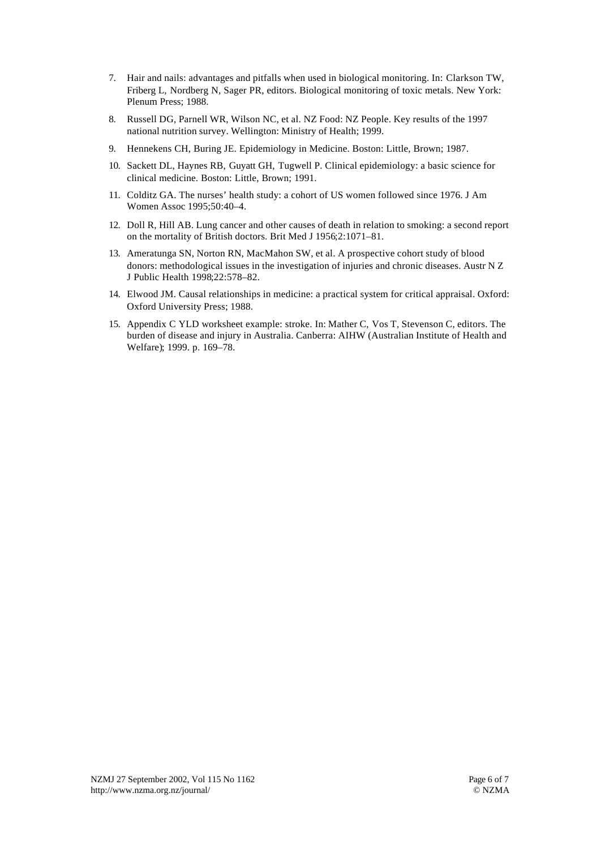- 7. Hair and nails: advantages and pitfalls when used in biological monitoring. In: Clarkson TW, Friberg L, Nordberg N, Sager PR, editors. Biological monitoring of toxic metals. New York: Plenum Press; 1988.
- 8. Russell DG, Parnell WR, Wilson NC, et al. NZ Food: NZ People. Key results of the 1997 national nutrition survey. Wellington: Ministry of Health; 1999.
- 9. Hennekens CH, Buring JE. Epidemiology in Medicine. Boston: Little, Brown; 1987.
- 10. Sackett DL, Haynes RB, Guyatt GH, Tugwell P. Clinical epidemiology: a basic science for clinical medicine. Boston: Little, Brown; 1991.
- 11. Colditz GA. The nurses' health study: a cohort of US women followed since 1976. J Am Women Assoc 1995;50:40–4.
- 12. Doll R, Hill AB. Lung cancer and other causes of death in relation to smoking: a second report on the mortality of British doctors. Brit Med J 1956;2:1071–81.
- 13. Ameratunga SN, Norton RN, MacMahon SW, et al. A prospective cohort study of blood donors: methodological issues in the investigation of injuries and chronic diseases. Austr N Z J Public Health 1998;22:578–82.
- 14. Elwood JM. Causal relationships in medicine: a practical system for critical appraisal. Oxford: Oxford University Press; 1988.
- 15. Appendix C YLD worksheet example: stroke. In: Mather C, Vos T, Stevenson C, editors. The burden of disease and injury in Australia. Canberra: AIHW (Australian Institute of Health and Welfare); 1999. p. 169–78.